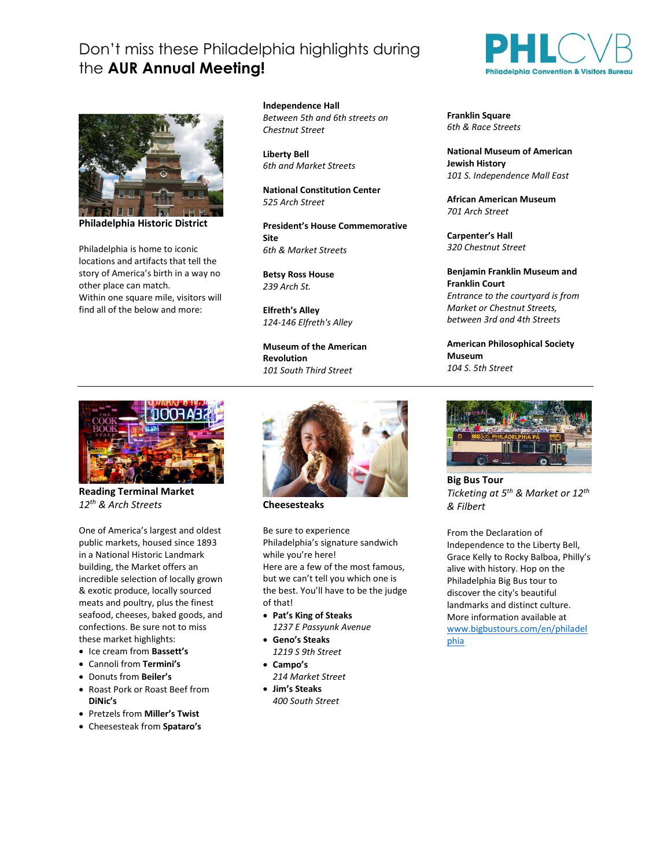## Don't miss these Philadelphia highlights during the **AUR Annual Meeting!**



**Philadelphia Historic District**

Philadelphia is home to iconic locations and artifacts that tell the story of America's birth in a way no other place can match. Within one square mile, visitors will find all of the below and more:

**Independence Hall** *Between 5th and 6th streets on Chestnut Street*

**Liberty Bell** *6th and Market Streets*

**National Constitution Center** *525 Arch Street*

**President's House Commemorative Site** *6th & Market Streets*

**Betsy Ross House** *239 Arch St.*

**Elfreth's Alley** *124-146 Elfreth's Alley*

**Museum of the American Revolution**  *101 South Third Street*



**Reading Terminal Market** *12th & Arch Streets*

One of America's largest and oldest public markets, housed since 1893 in a National Historic Landmark building, the Market offers an incredible selection of locally grown & exotic produce, locally sourced meats and poultry, plus the finest seafood, cheeses, baked goods, and confections. Be sure not to miss these market highlights:

- Ice cream from **Bassett's**
- Cannoli from **Termini's**
- Donuts from **Beiler's**
- Roast Pork or Roast Beef from **DiNic's**
- Pretzels from **Miller's Twist**
- Cheesesteak from **Spataro's**



**Cheesesteaks**

Be sure to experience Philadelphia's signature sandwich while you're here! Here are a few of the most famous, but we can't tell you which one is the best. You'll have to be the judge of that!

- **Pat's King of Steaks** *1237 E Passyunk Avenue*
- **Geno's Steaks**
- *1219 S 9th Street*
- **Campo's** *214 Market Street*
- **Jim's Steaks** *400 South Street*



**Franklin Square** *6th & Race Streets*

**National Museum of American Jewish History** *101 S. Independence Mall East*

**African American Museum** *701 Arch Street*

**Carpenter's Hall** *320 Chestnut Street*

**Benjamin Franklin Museum and Franklin Court** *Entrance to the courtyard is from Market or Chestnut Streets, between 3rd and 4th Streets*

**American Philosophical Society Museum** *104 S. 5th Street*



**Big Bus Tour** *Ticketing at 5 th & Market or 12th & Filbert*

From the Declaration of Independence to the Liberty Bell, Grace Kelly to Rocky Balboa, Philly's alive with history. Hop on the Philadelphia Big Bus tour to discover the city's beautiful landmarks and distinct culture. More information available at [www.bigbustours.com/en/philadel](http://www.bigbustours.com/en/philadelphia) [phia](http://www.bigbustours.com/en/philadelphia)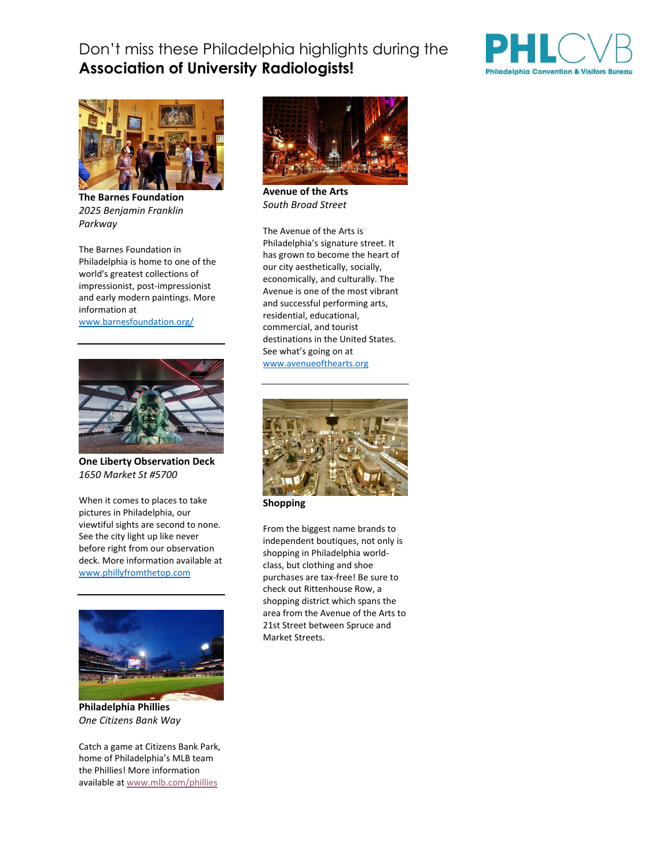## Don't miss these Philadelphia highlights during the **Association of University Radiologists!**





**The Barnes Foundation** *2025 Benjamin Franklin Parkway*

The Barnes Foundation in Philadelphia is home to one of the world's greatest collections of impressionist, post-impressionist and early modern paintings. More information at

[www.barnesfoundation.org/](http://www.barnesfoundation.org/)



**One Liberty Observation Deck** *1650 Market St #5700*

When it comes to places to take pictures in Philadelphia, our viewtiful sights are second to none. See the city light up like never before right from our observation deck. More information available at [www.phillyfromthetop.com](http://www.phillyfromthetop.com/)



**Philadelphia Phillies** *One Citizens Bank Way*

Catch a game at Citizens Bank Park, home of Philadelphia's MLB team the Phillies! More information available at [www.mlb.com/phillies](http://www.mlb.com/phillies)



**Avenue of the Arts** *South Broad Street*

The Avenue of the Arts is Philadelphia's signature street. It has grown to become the heart of our city aesthetically, socially, economically, and culturally. The Avenue is one of the most vibrant and successful performing arts, residential, educational, commercial, and tourist destinations in the United States. See what's going on at [www.avenueofthearts.org](http://www.avenueofthearts.org/)



**Shopping**

From the biggest name brands to independent boutiques, not only is shopping in Philadelphia worldclass, but clothing and shoe purchases are tax-free! Be sure to check out Rittenhouse Row, a shopping district which spans the area from the Avenue of the Arts to 21st Street between Spruce and Market Streets.